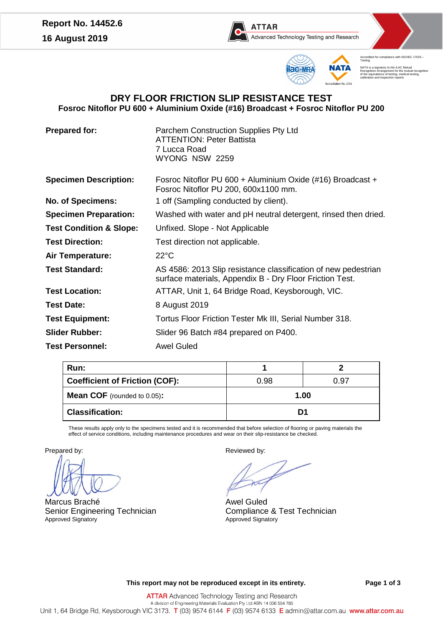



ed for compliance with ISO/IEC 17025 Accred<br>Testing NATA is a signatory to the ILAC Mutual Recognition Arrangement for the mutual recognition of the equivalence of testing, medical testing, calibration and inspection reports

# **DRY FLOOR FRICTION SLIP RESISTANCE TEST Fosroc Nitoflor PU 600 + Aluminium Oxide (#16) Broadcast + Fosroc Nitoflor PU 200**

**Prepared for:** Parchem Construction Supplies Pty Ltd ATTENTION: Peter Battista 7 Lucca Road WYONG NSW 2259

 $F = F \times F$ 

Fosroc Nitoflor PU 600 + Aluminium Oxide (#16) Broadcast +

|  |  | <b>Specimen Description:</b> |
|--|--|------------------------------|
|--|--|------------------------------|

|                                    | <b>FOSTOC NITOHOL PU 200, 600X LTUD MMI.</b>                                                                               |
|------------------------------------|----------------------------------------------------------------------------------------------------------------------------|
| <b>No. of Specimens:</b>           | 1 off (Sampling conducted by client).                                                                                      |
| <b>Specimen Preparation:</b>       | Washed with water and pH neutral detergent, rinsed then dried.                                                             |
| <b>Test Condition &amp; Slope:</b> | Unfixed. Slope - Not Applicable                                                                                            |
| <b>Test Direction:</b>             | Test direction not applicable.                                                                                             |
| <b>Air Temperature:</b>            | $22^{\circ}$ C                                                                                                             |
| <b>Test Standard:</b>              | AS 4586: 2013 Slip resistance classification of new pedestrian<br>surface materials, Appendix B - Dry Floor Friction Test. |
| <b>Test Location:</b>              | ATTAR, Unit 1, 64 Bridge Road, Keysborough, VIC.                                                                           |
| <b>Test Date:</b>                  | 8 August 2019                                                                                                              |
| <b>Test Equipment:</b>             | Tortus Floor Friction Tester Mk III, Serial Number 318.                                                                    |
| <b>Slider Rubber:</b>              | Slider 96 Batch #84 prepared on P400.                                                                                      |
| <b>Test Personnel:</b>             | <b>Awel Guled</b>                                                                                                          |

| Run:                                  |      |      |
|---------------------------------------|------|------|
| <b>Coefficient of Friction (COF):</b> | 0.98 | 0.97 |
| <b>Mean COF</b> (rounded to $0.05$ ): | 1.00 |      |
| <b>Classification:</b>                | D1   |      |

These results apply only to the specimens tested and it is recommended that before selection of flooring or paving materials the effect of service conditions, including maintenance procedures and wear on their slip-resistance be checked.

Marcus Braché Senior Engineering Technician Approved Signatory

Prepared by: Prepared by:

Awel Guled Compliance & Test Technician Approved Signatory

**This report may not be reproduced except in its entirety. Page 1 of 3**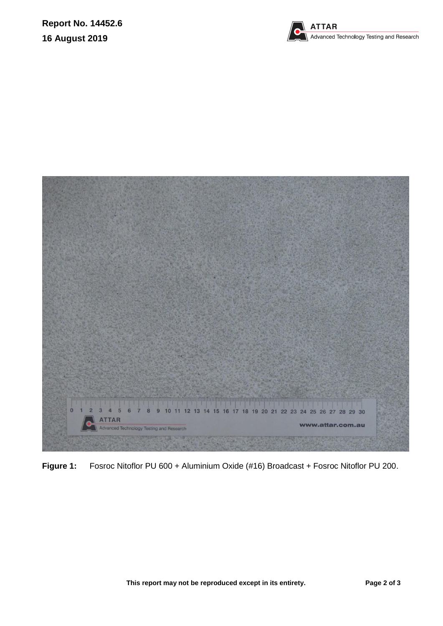



**Figure 1:** Fosroc Nitoflor PU 600 + Aluminium Oxide (#16) Broadcast + Fosroc Nitoflor PU 200.